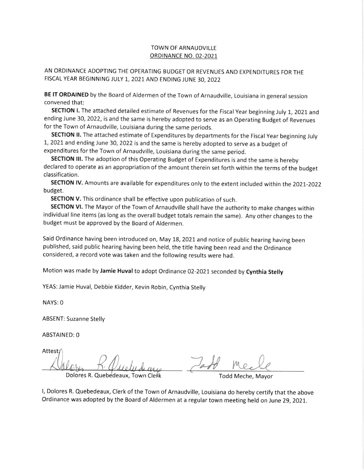## TOWN OF ARNAUDVILLE **ORDINANCE NO. 02-2021**

AN ORDINANCE ADOPTING THE OPERATING BUDGET OR REVENUES AND EXPENDITURES FOR THE FISCAL YEAR BEGINNING JULY 1, 2021 AND ENDING JUNE 30, 2022

BE IT ORDAINED by the Board of Aldermen of the Town of Arnaudville, Louisiana in general session convened that:

SECTION I. The attached detailed estimate of Revenues for the Fiscal Year beginning July 1, 2021 and ending June 30, 2022, is and the same is hereby adopted to serve as an Operating Budget of Revenues for the Town of Arnaudville, Louisiana during the same periods.

SECTION II. The attached estimate of Expenditures by departments for the Fiscal Year beginning July L, 2021 and ending june 30, 2022 is and the same is hereby adopted to serve as a budget of expenditures for the Town of Arnaudville, Louisiana during the same period.

SECTION III. The adoption of this Operating Budget of Expenditures is and the same is hereby declared to operate as an appropriation of the amount therein set forth within the terms of the budget classification.

SECTION IV. Amounts are available for expenditures only to the extent included within the 2021-2022 budget.

SECTION V. This ordinance shall be effective upon publication of such.

SECTION VI. The Mayor of the Town of Arnaudville shall have the authority to make changes within individual line items (as long as the overall budget totals remain the same). Any other changes to the budget must be approved by the Board of Aldermen.

Said ordinance having been introduced on, May 18, zo21 and notice of public hearing having been published, said public hearing having been held, the title having been read and the Ordinance considered, a record vote was taken and the following results were had.

Motion was made by Jamie Huval to adopt Ordinance 02-2021 seconded by Cynthia Stelly

YEAS: Jamie Huval, Debbie Kidder, Kevin Robin, Cynthia Stelly

NAYS: O

ABSENT: Suzanne Stelly

**ABSTAINED: 0** 

Attest; Dolores R. Quebedeaux, Town Clerk Town Todd Meche, Mayor  $20112720$ r

l, Dolores R. Quebedeaux, Clerk of the Town of Arnaudville, Louisiana do hereby certify that the above Ordinance was adopted by the Board of Aldermen at a regular town meeting held on June 29, 2021.